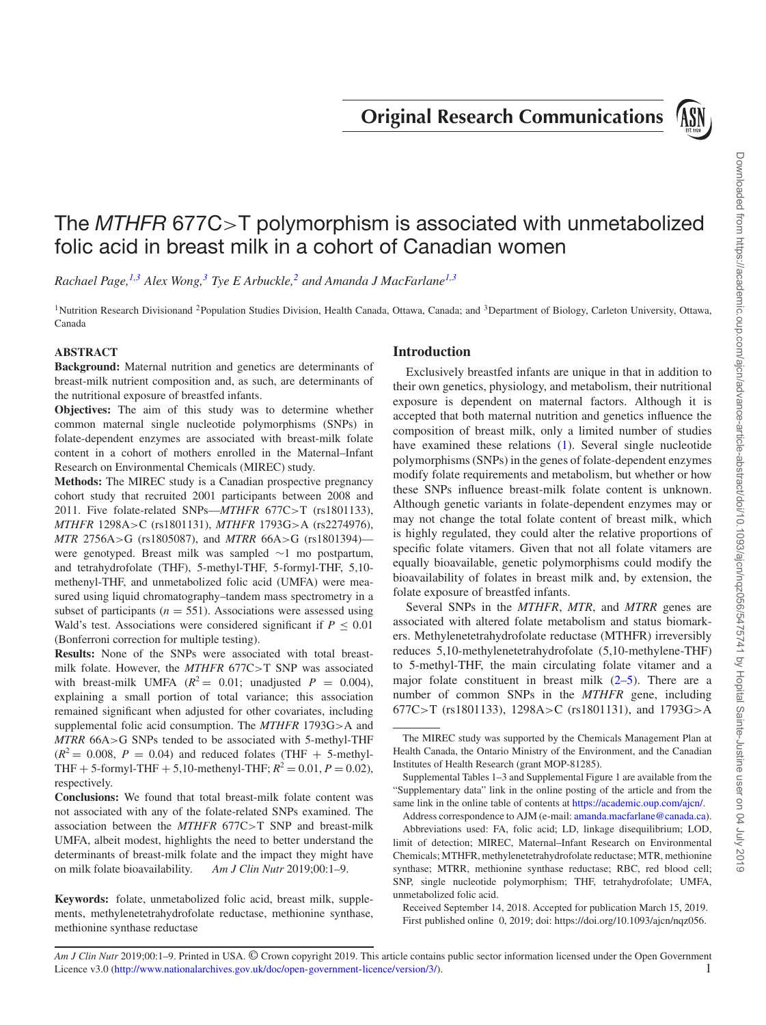**Original Research Communications**



# The MTHFR 677C>T polymorphism is associated with unmetabolized folic acid in breast milk in a cohort of Canadian women

*Rachael Page,[1,](#page-0-0)[3](#page-0-1) Alex Wong,[3](#page-0-1) Tye E Arbuckle,[2](#page-0-2) and Amanda J MacFarlan[e1](#page-0-0)[,3](#page-0-1)*

<span id="page-0-2"></span><span id="page-0-0"></span><sup>1</sup>Nutrition Research Divisionand <sup>2</sup>Population Studies Division, Health Canada, Ottawa, Canada; and  ${}^{3}$ Department of Biology, Carleton University, Ottawa, Canada

## **ABSTRACT**

**Background:** Maternal nutrition and genetics are determinants of breast-milk nutrient composition and, as such, are determinants of the nutritional exposure of breastfed infants.

**Objectives:** The aim of this study was to determine whether common maternal single nucleotide polymorphisms (SNPs) in folate-dependent enzymes are associated with breast-milk folate content in a cohort of mothers enrolled in the Maternal–Infant Research on Environmental Chemicals (MIREC) study.

**Methods:** The MIREC study is a Canadian prospective pregnancy cohort study that recruited 2001 participants between 2008 and 2011. Five folate-related SNPs—*MTHFR* 677C>T (rs1801133), *MTHFR* 1298A>C (rs1801131), *MTHFR* 1793G>A (rs2274976), *MTR* 2756A>G (rs1805087), and *MTRR* 66A>G (rs1801394) were genotyped. Breast milk was sampled ∼1 mo postpartum, and tetrahydrofolate (THF), 5-methyl-THF, 5-formyl-THF, 5,10 methenyl-THF, and unmetabolized folic acid (UMFA) were measured using liquid chromatography–tandem mass spectrometry in a subset of participants ( $n = 551$ ). Associations were assessed using Wald's test. Associations were considered significant if  $P \leq 0.01$ (Bonferroni correction for multiple testing).

**Results:** None of the SNPs were associated with total breastmilk folate. However, the *MTHFR* 677C>T SNP was associated with breast-milk UMFA ( $R^2 = 0.01$ ; unadjusted  $P = 0.004$ ), explaining a small portion of total variance; this association remained significant when adjusted for other covariates, including supplemental folic acid consumption. The *MTHFR* 1793G>A and *MTRR* 66A>G SNPs tended to be associated with 5-methyl-THF  $(R^2 = 0.008, P = 0.04)$  and reduced folates (THF + 5-methyl-THF + 5-formyl-THF + 5,10-methenyl-THF;  $R^2 = 0.01$ ,  $P = 0.02$ ), respectively.

**Conclusions:** We found that total breast-milk folate content was not associated with any of the folate-related SNPs examined. The association between the *MTHFR* 677C>T SNP and breast-milk UMFA, albeit modest, highlights the need to better understand the determinants of breast-milk folate and the impact they might have on milk folate bioavailability. *Am J Clin Nutr* 2019;00:1–9.

**Keywords:** folate, unmetabolized folic acid, breast milk, supplements, methylenetetrahydrofolate reductase, methionine synthase, methionine synthase reductase

#### <span id="page-0-1"></span>**Introduction**

Exclusively breastfed infants are unique in that in addition to their own genetics, physiology, and metabolism, their nutritional exposure is dependent on maternal factors. Although it is accepted that both maternal nutrition and genetics influence the composition of breast milk, only a limited number of studies have examined these relations [\(1\)](#page-7-0). Several single nucleotide polymorphisms (SNPs) in the genes of folate-dependent enzymes modify folate requirements and metabolism, but whether or how these SNPs influence breast-milk folate content is unknown. Although genetic variants in folate-dependent enzymes may or may not change the total folate content of breast milk, which is highly regulated, they could alter the relative proportions of specific folate vitamers. Given that not all folate vitamers are equally bioavailable, genetic polymorphisms could modify the bioavailability of folates in breast milk and, by extension, the folate exposure of breastfed infants.

Several SNPs in the *MTHFR*, *MTR*, and *MTRR* genes are associated with altered folate metabolism and status biomarkers. Methylenetetrahydrofolate reductase (MTHFR) irreversibly reduces 5,10-methylenetetrahydrofolate (5,10-methylene-THF) to 5-methyl-THF, the main circulating folate vitamer and a major folate constituent in breast milk  $(2-5)$ . There are a number of common SNPs in the *MTHFR* gene, including 677C>T (rs1801133), 1298A>C (rs1801131), and 1793G>A

*Am J Clin Nutr* 2019;00:1–9. Printed in USA. © Crown copyright 2019. This article contains public sector information licensed under the Open Government Licence v3.0 [\(http://www.nationalarchives.gov.uk/doc/open-government-licence/version/3/\)](http://www.nationalarchives.gov.uk/doc/open-government-licence/version/3/). 1

The MIREC study was supported by the Chemicals Management Plan at Health Canada, the Ontario Ministry of the Environment, and the Canadian Institutes of Health Research (grant MOP-81285).

Supplemental Tables 1–3 and Supplemental Figure 1 are available from the "Supplementary data" link in the online posting of the article and from the same link in the online table of contents at [https://academic.oup.com/ajcn/.](https://academic.oup.com/ajcn/)

Address correspondence to AJM (e-mail: [amanda.macfarlane@canada.ca\)](mailto:amanda.macfarlane@canada.ca). Abbreviations used: FA, folic acid; LD, linkage disequilibrium; LOD, limit of detection; MIREC, Maternal–Infant Research on Environmental Chemicals; MTHFR, methylenetetrahydrofolate reductase; MTR, methionine synthase; MTRR, methionine synthase reductase; RBC, red blood cell; SNP, single nucleotide polymorphism; THF, tetrahydrofolate; UMFA, unmetabolized folic acid.

Received September 14, 2018. Accepted for publication March 15, 2019. First published online 0, 2019; doi: https://doi.org/10.1093/ajcn/nqz056.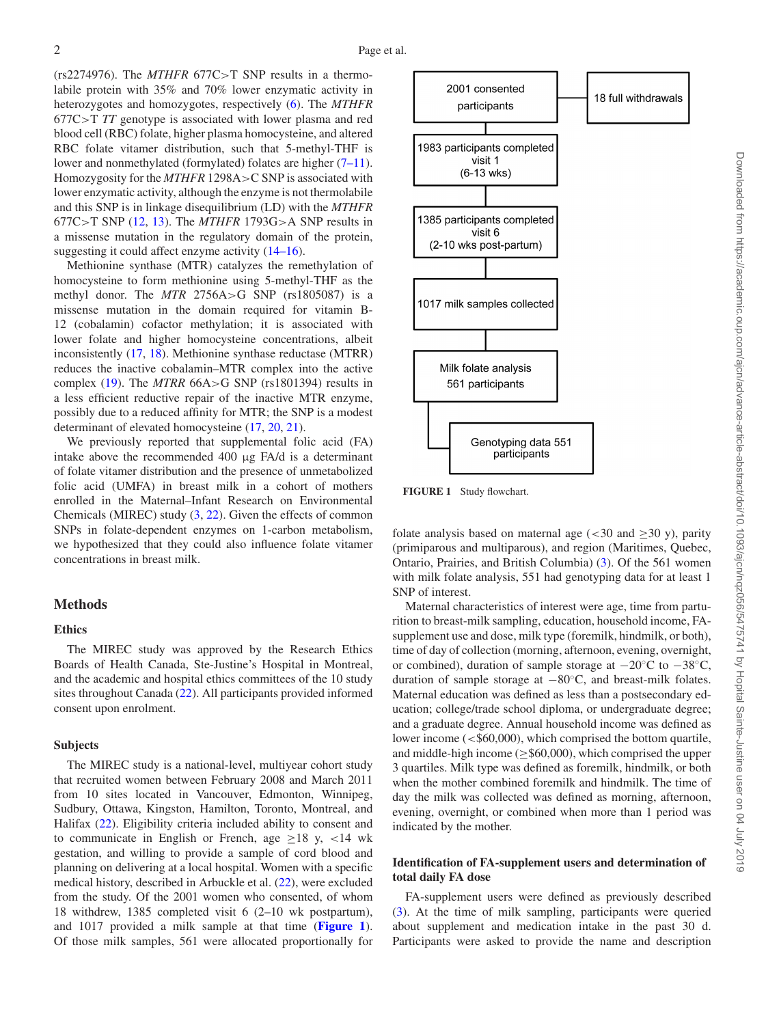(rs2274976). The *MTHFR* 677C>T SNP results in a thermolabile protein with 35% and 70% lower enzymatic activity in heterozygotes and homozygotes, respectively [\(6\)](#page-7-2). The *MTHFR* 677C>T *TT* genotype is associated with lower plasma and red blood cell (RBC) folate, higher plasma homocysteine, and altered RBC folate vitamer distribution, such that 5-methyl-THF is lower and nonmethylated (formylated) folates are higher [\(7–11\)](#page-7-3). Homozygosity for the *MTHFR* 1298A>C SNP is associated with lower enzymatic activity, although the enzyme is not thermolabile and this SNP is in linkage disequilibrium (LD) with the *MTHFR* 677C>T SNP [\(12,](#page-7-4) [13\)](#page-7-5). The *MTHFR* 1793G>A SNP results in a missense mutation in the regulatory domain of the protein, suggesting it could affect enzyme activity [\(14–16\)](#page-7-6).

Methionine synthase (MTR) catalyzes the remethylation of homocysteine to form methionine using 5-methyl-THF as the methyl donor. The *MTR* 2756A>G SNP (rs1805087) is a missense mutation in the domain required for vitamin B-12 (cobalamin) cofactor methylation; it is associated with lower folate and higher homocysteine concentrations, albeit inconsistently [\(17,](#page-7-7) [18\)](#page-7-8). Methionine synthase reductase (MTRR) reduces the inactive cobalamin–MTR complex into the active complex [\(19\)](#page-7-9). The *MTRR* 66A>G SNP (rs1801394) results in a less efficient reductive repair of the inactive MTR enzyme, possibly due to a reduced affinity for MTR; the SNP is a modest determinant of elevated homocysteine [\(17,](#page-7-7) [20,](#page-7-10) [21\)](#page-7-11).

We previously reported that supplemental folic acid (FA) intake above the recommended 400 μg FA/d is a determinant of folate vitamer distribution and the presence of unmetabolized folic acid (UMFA) in breast milk in a cohort of mothers enrolled in the Maternal–Infant Research on Environmental Chemicals (MIREC) study [\(3,](#page-7-12) [22\)](#page-7-13). Given the effects of common SNPs in folate-dependent enzymes on 1-carbon metabolism, we hypothesized that they could also influence folate vitamer concentrations in breast milk.

#### **Methods**

# **Ethics**

The MIREC study was approved by the Research Ethics Boards of Health Canada, Ste-Justine's Hospital in Montreal, and the academic and hospital ethics committees of the 10 study sites throughout Canada [\(22\)](#page-7-13). All participants provided informed consent upon enrolment.

# **Subjects**

The MIREC study is a national-level, multiyear cohort study that recruited women between February 2008 and March 2011 from 10 sites located in Vancouver, Edmonton, Winnipeg, Sudbury, Ottawa, Kingston, Hamilton, Toronto, Montreal, and Halifax [\(22\)](#page-7-13). Eligibility criteria included ability to consent and to communicate in English or French, age  $\geq 18$  y, <14 wk gestation, and willing to provide a sample of cord blood and planning on delivering at a local hospital. Women with a specific medical history, described in Arbuckle et al. [\(22\)](#page-7-13), were excluded from the study. Of the 2001 women who consented, of whom 18 withdrew, 1385 completed visit 6 (2–10 wk postpartum), and 1017 provided a milk sample at that time (**[Figure 1](#page-1-0)**). Of those milk samples, 561 were allocated proportionally for

<span id="page-1-0"></span>

**FIGURE 1** Study flowchart.

folate analysis based on maternal age  $\left( < 30 \text{ and } > 30 \text{ y} \right)$ , parity (primiparous and multiparous), and region (Maritimes, Quebec, Ontario, Prairies, and British Columbia) [\(3\)](#page-7-12). Of the 561 women with milk folate analysis, 551 had genotyping data for at least 1 SNP of interest.

Maternal characteristics of interest were age, time from parturition to breast-milk sampling, education, household income, FAsupplement use and dose, milk type (foremilk, hindmilk, or both), time of day of collection (morning, afternoon, evening, overnight, or combined), duration of sample storage at −20◦C to −38◦C, duration of sample storage at −80◦C, and breast-milk folates. Maternal education was defined as less than a postsecondary education; college/trade school diploma, or undergraduate degree; and a graduate degree. Annual household income was defined as lower income (<\$60,000), which comprised the bottom quartile, and middle-high income ( $\geq$ \$60,000), which comprised the upper 3 quartiles. Milk type was defined as foremilk, hindmilk, or both when the mother combined foremilk and hindmilk. The time of day the milk was collected was defined as morning, afternoon, evening, overnight, or combined when more than 1 period was indicated by the mother.

## **Identification of FA-supplement users and determination of total daily FA dose**

FA-supplement users were defined as previously described [\(3\)](#page-7-12). At the time of milk sampling, participants were queried about supplement and medication intake in the past 30 d. Participants were asked to provide the name and description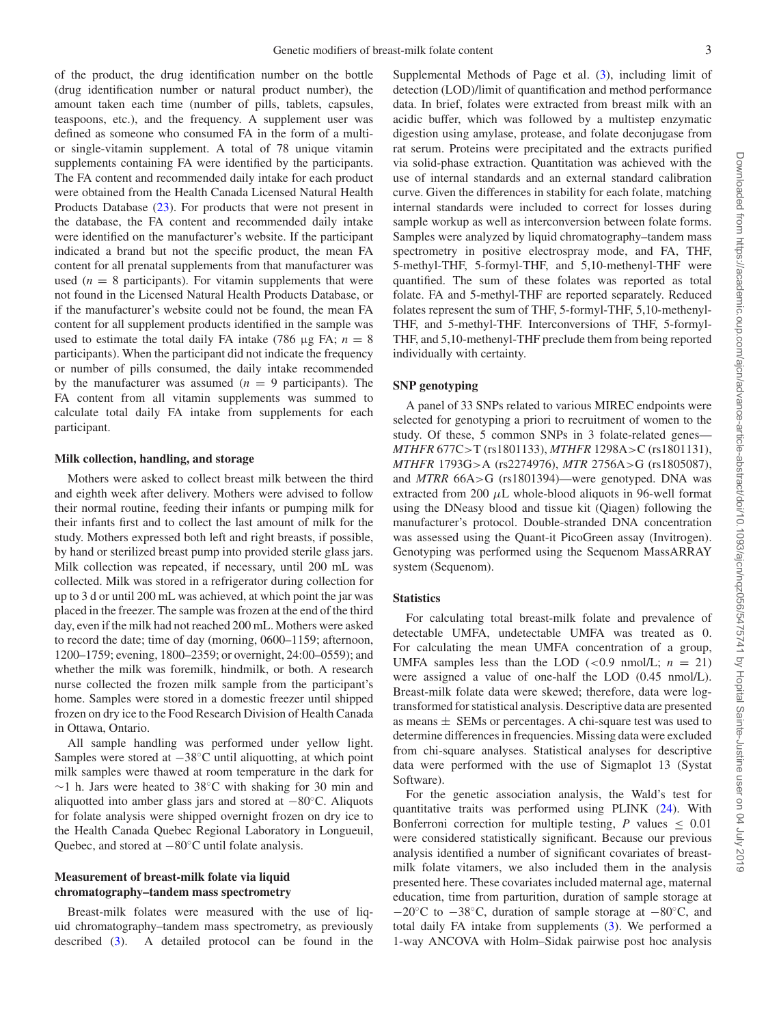of the product, the drug identification number on the bottle (drug identification number or natural product number), the amount taken each time (number of pills, tablets, capsules, teaspoons, etc.), and the frequency. A supplement user was defined as someone who consumed FA in the form of a multior single-vitamin supplement. A total of 78 unique vitamin supplements containing FA were identified by the participants. The FA content and recommended daily intake for each product were obtained from the Health Canada Licensed Natural Health Products Database [\(23\)](#page-7-14). For products that were not present in the database, the FA content and recommended daily intake were identified on the manufacturer's website. If the participant indicated a brand but not the specific product, the mean FA content for all prenatal supplements from that manufacturer was used  $(n = 8$  participants). For vitamin supplements that were not found in the Licensed Natural Health Products Database, or if the manufacturer's website could not be found, the mean FA content for all supplement products identified in the sample was used to estimate the total daily FA intake (786 μg FA;  $n = 8$ ) participants). When the participant did not indicate the frequency or number of pills consumed, the daily intake recommended by the manufacturer was assumed  $(n = 9$  participants). The FA content from all vitamin supplements was summed to calculate total daily FA intake from supplements for each participant.

#### **Milk collection, handling, and storage**

Mothers were asked to collect breast milk between the third and eighth week after delivery. Mothers were advised to follow their normal routine, feeding their infants or pumping milk for their infants first and to collect the last amount of milk for the study. Mothers expressed both left and right breasts, if possible, by hand or sterilized breast pump into provided sterile glass jars. Milk collection was repeated, if necessary, until 200 mL was collected. Milk was stored in a refrigerator during collection for up to 3 d or until 200 mL was achieved, at which point the jar was placed in the freezer. The sample was frozen at the end of the third day, even if the milk had not reached 200 mL. Mothers were asked to record the date; time of day (morning, 0600–1159; afternoon, 1200–1759; evening, 1800–2359; or overnight, 24:00–0559); and whether the milk was foremilk, hindmilk, or both. A research nurse collected the frozen milk sample from the participant's home. Samples were stored in a domestic freezer until shipped frozen on dry ice to the Food Research Division of Health Canada in Ottawa, Ontario.

All sample handling was performed under yellow light. Samples were stored at −38◦C until aliquotting, at which point milk samples were thawed at room temperature in the dark for ∼1 h. Jars were heated to 38◦C with shaking for 30 min and aliquotted into amber glass jars and stored at −80◦C. Aliquots for folate analysis were shipped overnight frozen on dry ice to the Health Canada Quebec Regional Laboratory in Longueuil, Quebec, and stored at −80◦C until folate analysis.

## **Measurement of breast-milk folate via liquid chromatography–tandem mass spectrometry**

Breast-milk folates were measured with the use of liquid chromatography–tandem mass spectrometry, as previously described [\(3\)](#page-7-12). A detailed protocol can be found in the Supplemental Methods of Page et al. [\(3\)](#page-7-12), including limit of detection (LOD)/limit of quantification and method performance data. In brief, folates were extracted from breast milk with an acidic buffer, which was followed by a multistep enzymatic digestion using amylase, protease, and folate deconjugase from rat serum. Proteins were precipitated and the extracts purified via solid-phase extraction. Quantitation was achieved with the use of internal standards and an external standard calibration curve. Given the differences in stability for each folate, matching internal standards were included to correct for losses during sample workup as well as interconversion between folate forms. Samples were analyzed by liquid chromatography–tandem mass spectrometry in positive electrospray mode, and FA, THF, 5-methyl-THF, 5-formyl-THF, and 5,10-methenyl-THF were quantified. The sum of these folates was reported as total folate. FA and 5-methyl-THF are reported separately. Reduced folates represent the sum of THF, 5-formyl-THF, 5,10-methenyl-THF, and 5-methyl-THF. Interconversions of THF, 5-formyl-THF, and 5,10-methenyl-THF preclude them from being reported individually with certainty.

#### **SNP genotyping**

A panel of 33 SNPs related to various MIREC endpoints were selected for genotyping a priori to recruitment of women to the study. Of these, 5 common SNPs in 3 folate-related genes— *MTHFR* 677C>T (rs1801133), *MTHFR* 1298A>C (rs1801131), *MTHFR* 1793G>A (rs2274976), *MTR* 2756A>G (rs1805087), and *MTRR* 66A>G (rs1801394)—were genotyped. DNA was extracted from 200  $\mu$ L whole-blood aliquots in 96-well format using the DNeasy blood and tissue kit (Qiagen) following the manufacturer's protocol. Double-stranded DNA concentration was assessed using the Quant-it PicoGreen assay (Invitrogen). Genotyping was performed using the Sequenom MassARRAY system (Sequenom).

#### **Statistics**

For calculating total breast-milk folate and prevalence of detectable UMFA, undetectable UMFA was treated as 0. For calculating the mean UMFA concentration of a group, UMFA samples less than the LOD  $(<0.9 \text{ nmol/L}; n = 21)$ were assigned a value of one-half the LOD (0.45 nmol/L). Breast-milk folate data were skewed; therefore, data were logtransformed for statistical analysis. Descriptive data are presented as means  $\pm$  SEMs or percentages. A chi-square test was used to determine differences in frequencies. Missing data were excluded from chi-square analyses. Statistical analyses for descriptive data were performed with the use of Sigmaplot 13 (Systat Software).

For the genetic association analysis, the Wald's test for quantitative traits was performed using PLINK [\(24\)](#page-7-15). With Bonferroni correction for multiple testing,  $P$  values  $\leq 0.01$ were considered statistically significant. Because our previous analysis identified a number of significant covariates of breastmilk folate vitamers, we also included them in the analysis presented here. These covariates included maternal age, maternal education, time from parturition, duration of sample storage at −20◦C to −38◦C, duration of sample storage at −80◦C, and total daily FA intake from supplements [\(3\)](#page-7-12). We performed a 1-way ANCOVA with Holm–Sidak pairwise post hoc analysis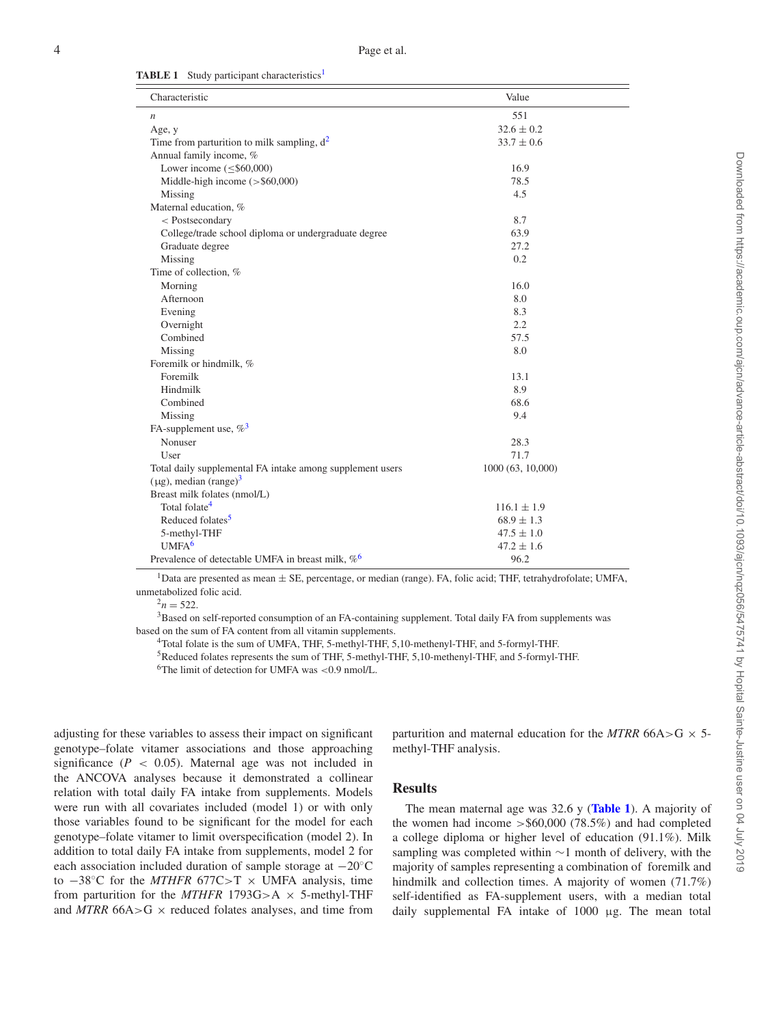<span id="page-3-6"></span>

|  |  |  | <b>TABLE 1</b> Study participant characteristics <sup>1</sup> |
|--|--|--|---------------------------------------------------------------|
|--|--|--|---------------------------------------------------------------|

| Characteristic                                            | Value            |  |  |  |
|-----------------------------------------------------------|------------------|--|--|--|
| $\boldsymbol{n}$                                          | 551              |  |  |  |
| Age, y                                                    | $32.6 \pm 0.2$   |  |  |  |
| Time from parturition to milk sampling, $d^2$             | $33.7 \pm 0.6$   |  |  |  |
| Annual family income, %                                   |                  |  |  |  |
| Lower income $(\leq$ \$60,000)                            | 16.9             |  |  |  |
| Middle-high income $($ > \$60,000)                        | 78.5             |  |  |  |
| Missing                                                   | 4.5              |  |  |  |
| Maternal education, %                                     |                  |  |  |  |
| < Postsecondary                                           | 8.7              |  |  |  |
| College/trade school diploma or undergraduate degree      | 63.9             |  |  |  |
| Graduate degree                                           | 27.2             |  |  |  |
| Missing                                                   | 0.2              |  |  |  |
| Time of collection, %                                     |                  |  |  |  |
| Morning                                                   | 16.0             |  |  |  |
| Afternoon                                                 | 8.0              |  |  |  |
| Evening                                                   | 8.3              |  |  |  |
| Overnight                                                 | 2.2              |  |  |  |
| Combined                                                  | 57.5             |  |  |  |
| Missing                                                   | 8.0              |  |  |  |
| Foremilk or hindmilk, %                                   |                  |  |  |  |
| Foremilk                                                  | 13.1             |  |  |  |
| Hindmilk                                                  | 8.9              |  |  |  |
| Combined                                                  | 68.6             |  |  |  |
| Missing                                                   | 9.4              |  |  |  |
| FA-supplement use, $\%$ <sup>3</sup>                      |                  |  |  |  |
| Nonuser                                                   | 28.3             |  |  |  |
| User                                                      | 71.7             |  |  |  |
| Total daily supplemental FA intake among supplement users | 1000(63, 10,000) |  |  |  |
| $(\mu g)$ , median (range) <sup>3</sup>                   |                  |  |  |  |
| Breast milk folates (nmol/L)                              |                  |  |  |  |
| Total folate <sup>4</sup>                                 | $116.1 \pm 1.9$  |  |  |  |
| Reduced folates <sup>5</sup>                              | $68.9 \pm 1.3$   |  |  |  |
| 5-methyl-THF                                              | $47.5 \pm 1.0$   |  |  |  |
| UMFA <sup>6</sup>                                         | $47.2 \pm 1.6$   |  |  |  |
| Prevalence of detectable UMFA in breast milk, $\%^6$      | 96.2             |  |  |  |

<span id="page-3-0"></span>1Data are presented as mean <sup>±</sup> SE, percentage, or median (range). FA, folic acid; THF, tetrahydrofolate; UMFA, unmetabolized folic acid.

<span id="page-3-2"></span><span id="page-3-1"></span> $\frac{2n}{3}$  = 522.<br><sup>3</sup>Based on self-reported consumption of an FA-containing supplement. Total daily FA from supplements was based on the sum of FA content from all vitamin supplements.

4Total folate is the sum of UMFA, THF, 5-methyl-THF, 5,10-methenyl-THF, and 5-formyl-THF.

5Reduced folates represents the sum of THF, 5-methyl-THF, 5,10-methenyl-THF, and 5-formyl-THF.

 $6$ The limit of detection for UMFA was <0.9 nmol/L.

<span id="page-3-5"></span><span id="page-3-4"></span><span id="page-3-3"></span>adjusting for these variables to assess their impact on significant genotype–folate vitamer associations and those approaching significance  $(P < 0.05)$ . Maternal age was not included in the ANCOVA analyses because it demonstrated a collinear relation with total daily FA intake from supplements. Models were run with all covariates included (model 1) or with only those variables found to be significant for the model for each genotype–folate vitamer to limit overspecification (model 2). In addition to total daily FA intake from supplements, model 2 for each association included duration of sample storage at −20◦C to −38◦C for the *MTHFR* 677C>T × UMFA analysis, time from parturition for the  $MTHFR$  1793G>A  $\times$  5-methyl-THF and  $MTRR$  66A $>$ G  $\times$  reduced folates analyses, and time from

parturition and maternal education for the *MTRR* 66A>G  $\times$  5methyl-THF analysis.

# **Results**

The mean maternal age was 32.6 y (**[Table 1](#page-3-6)**). A majority of the women had income  $> $60,000$  (78.5%) and had completed a college diploma or higher level of education (91.1%). Milk sampling was completed within ∼1 month of delivery, with the majority of samples representing a combination of foremilk and hindmilk and collection times. A majority of women (71.7%) self-identified as FA-supplement users, with a median total daily supplemental FA intake of 1000 μg. The mean total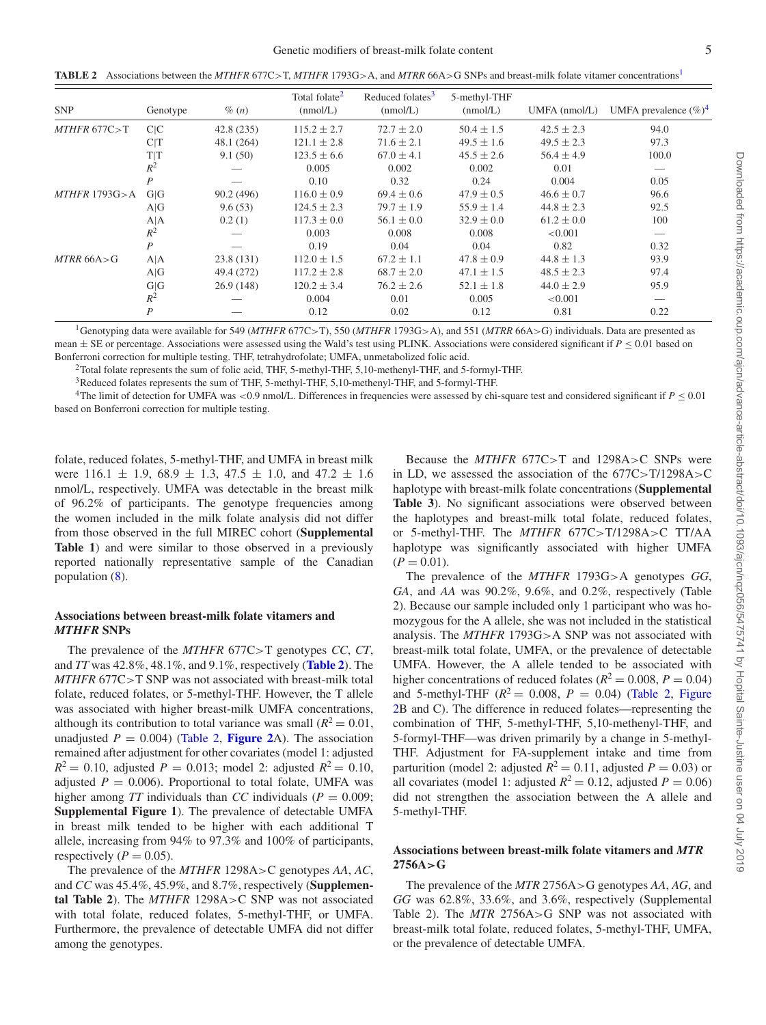<span id="page-4-4"></span>**TABLE 2** Associations between the *MTHFR* 677C>T, *MTHFR* 1793G>A, and *MTRR* 66A>G SNPs and breast-milk folate vitamer concentration[s1](#page-4-0)

| <b>SNP</b>          | Genotype         | $\%$ $(n)$ | Total folate <sup>2</sup><br>(mmol/L) | Reduced folates <sup>3</sup><br>(mmol/L) | 5-methyl-THF<br>(mmol/L) | $UMFA$ (nmol/L) | UMFA prevalence $(\%)^4$ |
|---------------------|------------------|------------|---------------------------------------|------------------------------------------|--------------------------|-----------------|--------------------------|
| $MTHFR$ 677 $C > T$ | C/C              | 42.8 (235) | $115.2 \pm 2.7$                       | $72.7 \pm 2.0$                           | $50.4 \pm 1.5$           | $42.5 \pm 2.3$  | 94.0                     |
|                     | ClT              | 48.1 (264) | $121.1 \pm 2.8$                       | $71.6 \pm 2.1$                           | $49.5 \pm 1.6$           | $49.5 \pm 2.3$  | 97.3                     |
|                     | T T              | 9.1(50)    | $123.5 \pm 6.6$                       | $67.0 \pm 4.1$                           | $45.5 \pm 2.6$           | $56.4 \pm 4.9$  | 100.0                    |
|                     | $R^2$            |            | 0.005                                 | 0.002                                    | 0.002                    | 0.01            |                          |
|                     | P                |            | 0.10                                  | 0.32                                     | 0.24                     | 0.004           | 0.05                     |
| $MTHFR$ 1793G $>$ A | G G              | 90.2 (496) | $116.0 \pm 0.9$                       | $69.4 \pm 0.6$                           | $47.9 \pm 0.5$           | $46.6 \pm 0.7$  | 96.6                     |
|                     | A G              | 9.6(53)    | $124.5 \pm 2.3$                       | $79.7 \pm 1.9$                           | $55.9 \pm 1.4$           | $44.8 \pm 2.3$  | 92.5                     |
|                     | A A              | 0.2(1)     | $117.3 \pm 0.0$                       | $56.1 \pm 0.0$                           | $32.9 \pm 0.0$           | $61.2 \pm 0.0$  | 100                      |
|                     | $R^2$            |            | 0.003                                 | 0.008                                    | 0.008                    | < 0.001         |                          |
|                     | P                |            | 0.19                                  | 0.04                                     | 0.04                     | 0.82            | 0.32                     |
| $MTRR$ 66A>G        | A A              | 23.8(131)  | $112.0 \pm 1.5$                       | $67.2 \pm 1.1$                           | $47.8 \pm 0.9$           | $44.8 \pm 1.3$  | 93.9                     |
|                     | A G              | 49.4 (272) | $117.2 \pm 2.8$                       | $68.7 \pm 2.0$                           | $47.1 \pm 1.5$           | $48.5 \pm 2.3$  | 97.4                     |
|                     | G G              | 26.9(148)  | $120.2 \pm 3.4$                       | $76.2 \pm 2.6$                           | $52.1 \pm 1.8$           | $44.0 \pm 2.9$  | 95.9                     |
|                     | $R^2$            |            | 0.004                                 | 0.01                                     | 0.005                    | < 0.001         |                          |
|                     | $\boldsymbol{P}$ |            | 0.12                                  | 0.02                                     | 0.12                     | 0.81            | 0.22                     |

<span id="page-4-0"></span>1Genotyping data were available for 549 (*MTHFR* 677C>T), 550 (*MTHFR* 1793G>A), and 551 (*MTRR* 66A>G) individuals. Data are presented as mean  $\pm$  SE or percentage. Associations were assessed using the Wald's test using PLINK. Associations were considered significant if  $P \le 0.01$  based on Bonferroni correction for multiple testing. THF, tetrahydrofolate; UMFA, unmetabolized folic acid.

<span id="page-4-1"></span>2Total folate represents the sum of folic acid, THF, 5-methyl-THF, 5,10-methenyl-THF, and 5-formyl-THF.

3Reduced folates represents the sum of THF, 5-methyl-THF, 5,10-methenyl-THF, and 5-formyl-THF.

<span id="page-4-3"></span><span id="page-4-2"></span><sup>4</sup>The limit of detection for UMFA was <0.9 nmol/L. Differences in frequencies were assessed by chi-square test and considered significant if  $P \le 0.01$ based on Bonferroni correction for multiple testing.

folate, reduced folates, 5-methyl-THF, and UMFA in breast milk were  $116.1 \pm 1.9$ ,  $68.9 \pm 1.3$ ,  $47.5 \pm 1.0$ , and  $47.2 \pm 1.6$ nmol/L, respectively. UMFA was detectable in the breast milk of 96.2% of participants. The genotype frequencies among the women included in the milk folate analysis did not differ from those observed in the full MIREC cohort (**Supplemental Table 1**) and were similar to those observed in a previously reported nationally representative sample of the Canadian population [\(8\)](#page-7-16).

#### **Associations between breast-milk folate vitamers and** *MTHFR* **SNPs**

The prevalence of the *MTHFR* 677C>T genotypes *CC*, *CT*, and *TT* was 42.8%, 48.1%, and 9.1%, respectively (**[Table 2](#page-4-4)**). The *MTHFR* 677C>T SNP was not associated with breast-milk total folate, reduced folates, or 5-methyl-THF. However, the T allele was associated with higher breast-milk UMFA concentrations, although its contribution to total variance was small  $(R^2 = 0.01,$ unadjusted  $P = 0.004$ ) [\(Table 2,](#page-4-4) **[Figure 2](#page-5-0)**A). The association remained after adjustment for other covariates (model 1: adjusted  $R^2 = 0.10$ , adjusted *P* = 0.013; model 2: adjusted  $R^2 = 0.10$ , adjusted  $P = 0.006$ ). Proportional to total folate, UMFA was higher among  $TT$  individuals than  $CC$  individuals ( $P = 0.009$ ; **Supplemental Figure 1**). The prevalence of detectable UMFA in breast milk tended to be higher with each additional T allele, increasing from 94% to 97.3% and 100% of participants, respectively  $(P = 0.05)$ .

The prevalence of the *MTHFR* 1298A>C genotypes *AA*, *AC*, and *CC* was 45.4%, 45.9%, and 8.7%, respectively (**Supplemental Table 2**). The *MTHFR* 1298A>C SNP was not associated with total folate, reduced folates, 5-methyl-THF, or UMFA. Furthermore, the prevalence of detectable UMFA did not differ among the genotypes.

Because the *MTHFR* 677C>T and 1298A>C SNPs were in LD, we assessed the association of the 677C>T/1298A>C haplotype with breast-milk folate concentrations (**Supplemental Table 3**). No significant associations were observed between the haplotypes and breast-milk total folate, reduced folates, or 5-methyl-THF. The *MTHFR* 677C>T/1298A>C TT/AA haplotype was significantly associated with higher UMFA  $(P = 0.01)$ .

The prevalence of the *MTHFR* 1793G>A genotypes *GG*, *GA*, and *AA* was 90.2%, 9.6%, and 0.2%, respectively (Table 2). Because our sample included only 1 participant who was homozygous for the A allele, she was not included in the statistical analysis. The *MTHFR* 1793G>A SNP was not associated with breast-milk total folate, UMFA, or the prevalence of detectable UMFA. However, the A allele tended to be associated with higher concentrations of reduced folates ( $R^2 = 0.008$ ,  $P = 0.04$ ) and 5-methyl-THF  $(R^2 = 0.008, P = 0.04)$  [\(Table 2,](#page-4-4) Figure [2B and C\). The difference in reduced folates—representing the](#page-5-0) combination of THF, 5-methyl-THF, 5,10-methenyl-THF, and 5-formyl-THF—was driven primarily by a change in 5-methyl-THF. Adjustment for FA-supplement intake and time from parturition (model 2: adjusted  $R^2 = 0.11$ , adjusted  $P = 0.03$ ) or all covariates (model 1: adjusted  $R^2 = 0.12$ , adjusted  $P = 0.06$ ) did not strengthen the association between the A allele and 5-methyl-THF.

## **Associations between breast-milk folate vitamers and** *MTR* **2756A***>***G**

The prevalence of the *MTR* 2756A>G genotypes *AA*, *AG*, and *GG* was 62.8%, 33.6%, and 3.6%, respectively (Supplemental Table 2). The *MTR* 2756A>G SNP was not associated with breast-milk total folate, reduced folates, 5-methyl-THF, UMFA, or the prevalence of detectable UMFA.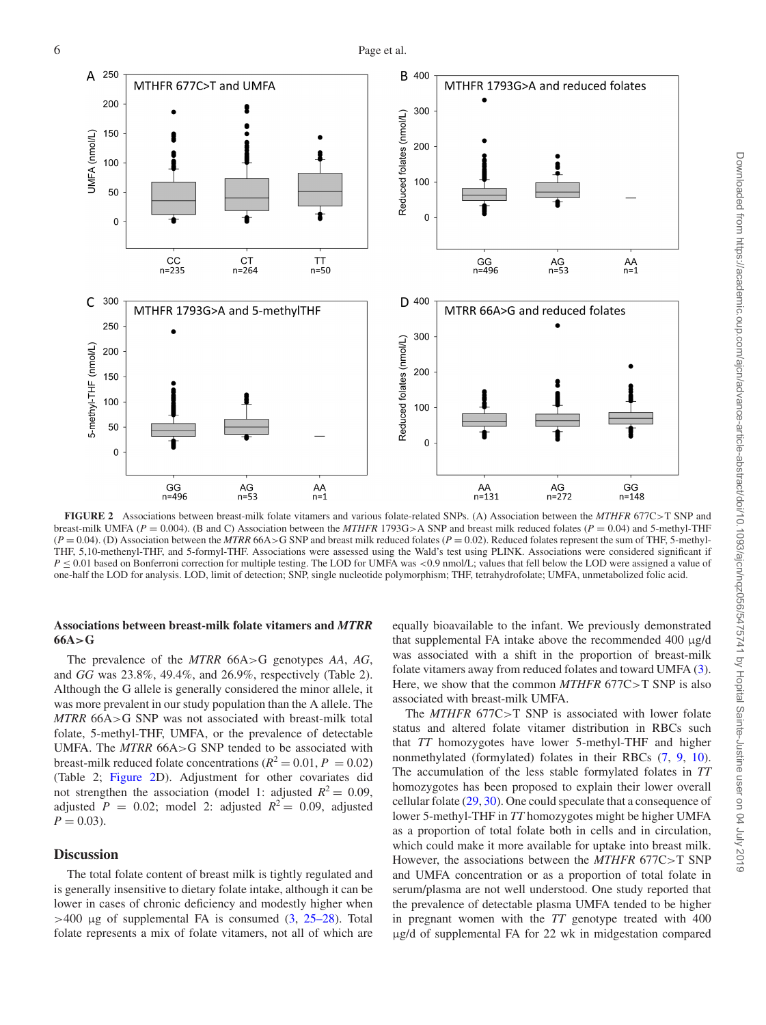<span id="page-5-0"></span>

**FIGURE 2** Associations between breast-milk folate vitamers and various folate-related SNPs. (A) Association between the *MTHFR* 677C>T SNP and breast-milk UMFA (*P* = 0.004). (B and C) Association between the *MTHFR* 1793G>A SNP and breast milk reduced folates (*P* = 0.04) and 5-methyl-THF  $(P = 0.04)$ . (D) Association between the *MTRR* 66A>G SNP and breast milk reduced folates ( $P = 0.02$ ). Reduced folates represent the sum of THF, 5-methyl-THF, 5,10-methenyl-THF, and 5-formyl-THF. Associations were assessed using the Wald's test using PLINK. Associations were considered significant if  $P \le 0.01$  based on Bonferroni correction for multiple testing. The LOD for UMFA was <0.9 nmol/L; values that fell below the LOD were assigned a value of one-half the LOD for analysis. LOD, limit of detection; SNP, single nucleotide polymorphism; THF, tetrahydrofolate; UMFA, unmetabolized folic acid.

## **Associations between breast-milk folate vitamers and** *MTRR* **66A***>***G**

The prevalence of the *MTRR* 66A>G genotypes *AA*, *AG*, and *GG* was 23.8%, 49.4%, and 26.9%, respectively (Table 2). Although the G allele is generally considered the minor allele, it was more prevalent in our study population than the A allele. The *MTRR* 66A>G SNP was not associated with breast-milk total folate, 5-methyl-THF, UMFA, or the prevalence of detectable UMFA. The *MTRR* 66A>G SNP tended to be associated with breast-milk reduced folate concentrations ( $R^2 = 0.01$ ,  $P = 0.02$ ) (Table 2; [Figure 2D](#page-5-0)). Adjustment for other covariates did not strengthen the association (model 1: adjusted  $R^2 = 0.09$ , adjusted  $P = 0.02$ ; model 2: adjusted  $R^2 = 0.09$ , adjusted  $P = 0.03$ .

# **Discussion**

The total folate content of breast milk is tightly regulated and is generally insensitive to dietary folate intake, although it can be lower in cases of chronic deficiency and modestly higher when  $>400$  μg of supplemental FA is consumed  $(3, 25-28)$  $(3, 25-28)$ . Total folate represents a mix of folate vitamers, not all of which are

equally bioavailable to the infant. We previously demonstrated that supplemental FA intake above the recommended 400 μg/d was associated with a shift in the proportion of breast-milk folate vitamers away from reduced folates and toward UMFA [\(3\)](#page-7-12). Here, we show that the common *MTHFR* 677C>T SNP is also associated with breast-milk UMFA.

The *MTHFR* 677C>T SNP is associated with lower folate status and altered folate vitamer distribution in RBCs such that *TT* homozygotes have lower 5-methyl-THF and higher nonmethylated (formylated) folates in their RBCs [\(7,](#page-7-3) [9,](#page-7-18) [10\)](#page-7-19). The accumulation of the less stable formylated folates in *TT* homozygotes has been proposed to explain their lower overall cellular folate [\(29,](#page-7-20) [30\)](#page-7-21). One could speculate that a consequence of lower 5-methyl-THF in *TT* homozygotes might be higher UMFA as a proportion of total folate both in cells and in circulation, which could make it more available for uptake into breast milk. However, the associations between the *MTHFR* 677C>T SNP and UMFA concentration or as a proportion of total folate in serum/plasma are not well understood. One study reported that the prevalence of detectable plasma UMFA tended to be higher in pregnant women with the *TT* genotype treated with 400 μg/d of supplemental FA for 22 wk in midgestation compared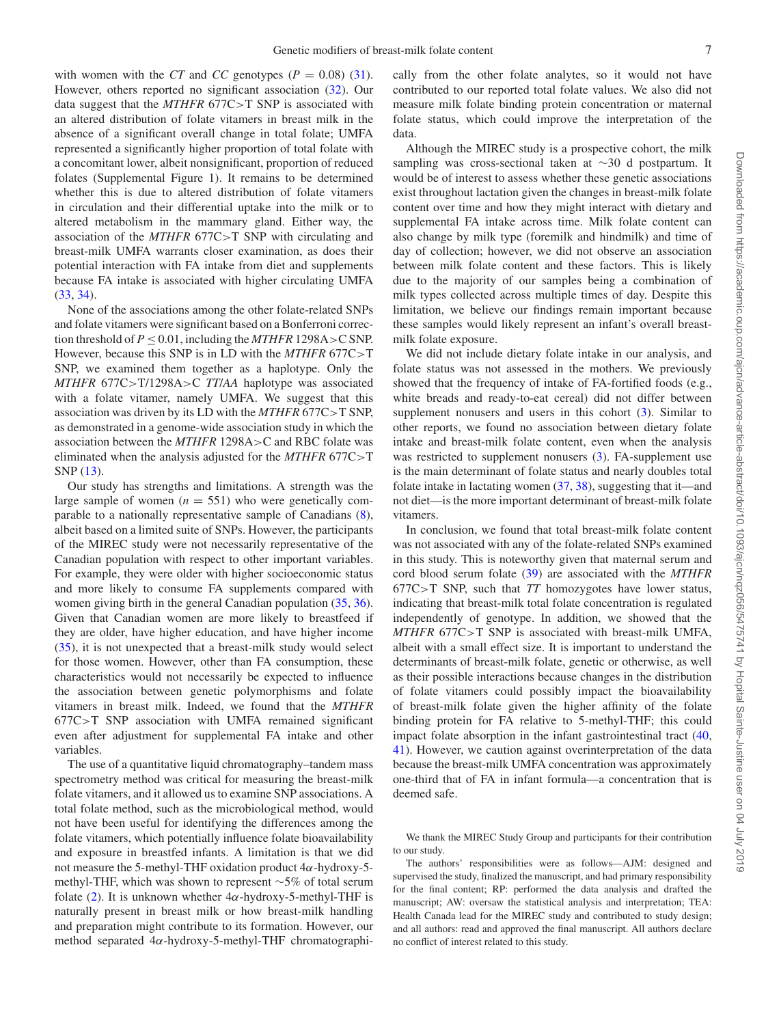with women with the *CT* and *CC* genotypes ( $P = 0.08$ ) [\(31\)](#page-7-22). However, others reported no significant association [\(32\)](#page-7-23). Our data suggest that the *MTHFR* 677C>T SNP is associated with an altered distribution of folate vitamers in breast milk in the absence of a significant overall change in total folate; UMFA represented a significantly higher proportion of total folate with a concomitant lower, albeit nonsignificant, proportion of reduced folates (Supplemental Figure 1). It remains to be determined whether this is due to altered distribution of folate vitamers in circulation and their differential uptake into the milk or to altered metabolism in the mammary gland. Either way, the association of the *MTHFR* 677C>T SNP with circulating and breast-milk UMFA warrants closer examination, as does their potential interaction with FA intake from diet and supplements because FA intake is associated with higher circulating UMFA [\(33,](#page-7-24) [34\)](#page-7-25).

None of the associations among the other folate-related SNPs and folate vitamers were significant based on a Bonferroni correction threshold of  $P \le 0.01$ , including the *MTHFR* 1298A>C SNP. However, because this SNP is in LD with the *MTHFR* 677C>T SNP, we examined them together as a haplotype. Only the *MTHFR* 677C>T/1298A>C *TT*/*AA* haplotype was associated with a folate vitamer, namely UMFA. We suggest that this association was driven by its LD with the *MTHFR* 677C>T SNP, as demonstrated in a genome-wide association study in which the association between the *MTHFR* 1298A>C and RBC folate was eliminated when the analysis adjusted for the *MTHFR* 677C>T SNP [\(13\)](#page-7-5).

Our study has strengths and limitations. A strength was the large sample of women  $(n = 551)$  who were genetically comparable to a nationally representative sample of Canadians [\(8\)](#page-7-16), albeit based on a limited suite of SNPs. However, the participants of the MIREC study were not necessarily representative of the Canadian population with respect to other important variables. For example, they were older with higher socioeconomic status and more likely to consume FA supplements compared with women giving birth in the general Canadian population [\(35,](#page-7-26) [36\)](#page-7-27). Given that Canadian women are more likely to breastfeed if they are older, have higher education, and have higher income [\(35\)](#page-7-26), it is not unexpected that a breast-milk study would select for those women. However, other than FA consumption, these characteristics would not necessarily be expected to influence the association between genetic polymorphisms and folate vitamers in breast milk. Indeed, we found that the *MTHFR* 677C>T SNP association with UMFA remained significant even after adjustment for supplemental FA intake and other variables.

The use of a quantitative liquid chromatography–tandem mass spectrometry method was critical for measuring the breast-milk folate vitamers, and it allowed us to examine SNP associations. A total folate method, such as the microbiological method, would not have been useful for identifying the differences among the folate vitamers, which potentially influence folate bioavailability and exposure in breastfed infants. A limitation is that we did not measure the 5-methyl-THF oxidation product  $4\alpha$ -hydroxy-5methyl-THF, which was shown to represent ∼5% of total serum folate [\(2\)](#page-7-1). It is unknown whether  $4\alpha$ -hydroxy-5-methyl-THF is naturally present in breast milk or how breast-milk handling and preparation might contribute to its formation. However, our method separated 4α-hydroxy-5-methyl-THF chromatographically from the other folate analytes, so it would not have contributed to our reported total folate values. We also did not measure milk folate binding protein concentration or maternal folate status, which could improve the interpretation of the data.

Although the MIREC study is a prospective cohort, the milk sampling was cross-sectional taken at ∼30 d postpartum. It would be of interest to assess whether these genetic associations exist throughout lactation given the changes in breast-milk folate content over time and how they might interact with dietary and supplemental FA intake across time. Milk folate content can also change by milk type (foremilk and hindmilk) and time of day of collection; however, we did not observe an association between milk folate content and these factors. This is likely due to the majority of our samples being a combination of milk types collected across multiple times of day. Despite this limitation, we believe our findings remain important because these samples would likely represent an infant's overall breastmilk folate exposure.

We did not include dietary folate intake in our analysis, and folate status was not assessed in the mothers. We previously showed that the frequency of intake of FA-fortified foods (e.g., white breads and ready-to-eat cereal) did not differ between supplement nonusers and users in this cohort  $(3)$ . Similar to other reports, we found no association between dietary folate intake and breast-milk folate content, even when the analysis was restricted to supplement nonusers [\(3\)](#page-7-12). FA-supplement use is the main determinant of folate status and nearly doubles total folate intake in lactating women [\(37,](#page-8-0) [38\)](#page-8-1), suggesting that it—and not diet—is the more important determinant of breast-milk folate vitamers.

In conclusion, we found that total breast-milk folate content was not associated with any of the folate-related SNPs examined in this study. This is noteworthy given that maternal serum and cord blood serum folate [\(39\)](#page-8-2) are associated with the *MTHFR* 677C>T SNP, such that *TT* homozygotes have lower status, indicating that breast-milk total folate concentration is regulated independently of genotype. In addition, we showed that the *MTHFR* 677C>T SNP is associated with breast-milk UMFA, albeit with a small effect size. It is important to understand the determinants of breast-milk folate, genetic or otherwise, as well as their possible interactions because changes in the distribution of folate vitamers could possibly impact the bioavailability of breast-milk folate given the higher affinity of the folate binding protein for FA relative to 5-methyl-THF; this could impact folate absorption in the infant gastrointestinal tract [\(40,](#page-8-3) [41\)](#page-8-4). However, we caution against overinterpretation of the data because the breast-milk UMFA concentration was approximately one-third that of FA in infant formula—a concentration that is deemed safe.

We thank the MIREC Study Group and participants for their contribution to our study.

The authors' responsibilities were as follows—AJM: designed and supervised the study, finalized the manuscript, and had primary responsibility for the final content; RP: performed the data analysis and drafted the manuscript; AW: oversaw the statistical analysis and interpretation; TEA: Health Canada lead for the MIREC study and contributed to study design; and all authors: read and approved the final manuscript. All authors declare no conflict of interest related to this study.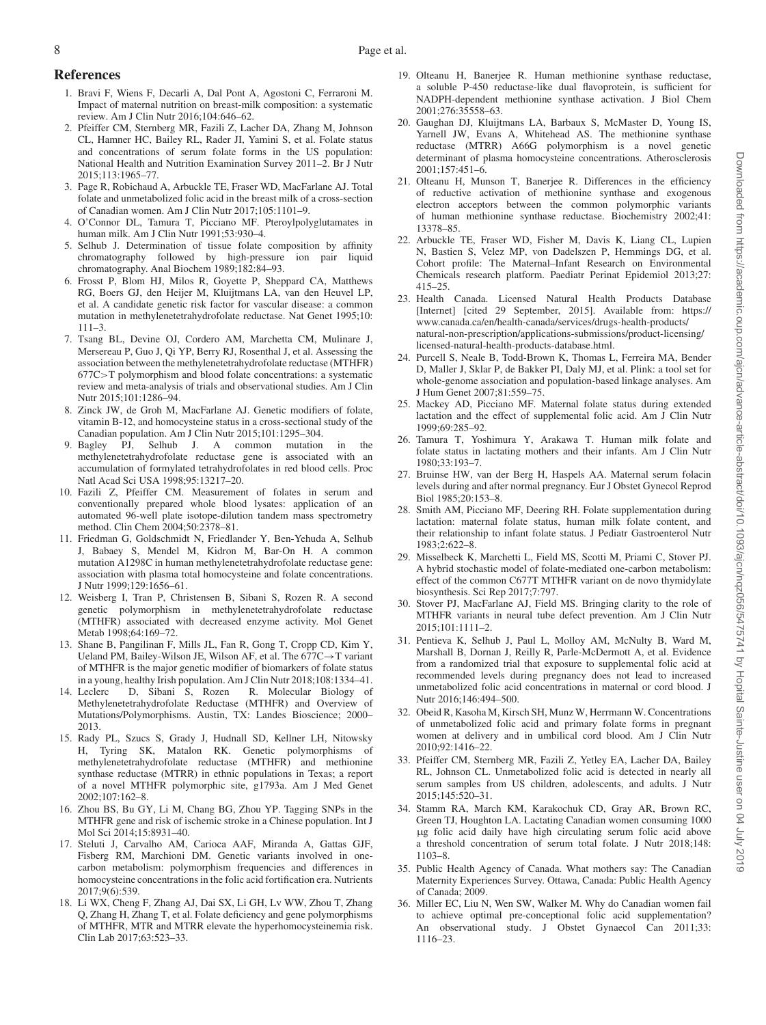# **References**

- <span id="page-7-0"></span>1. Bravi F, Wiens F, Decarli A, Dal Pont A, Agostoni C, Ferraroni M. Impact of maternal nutrition on breast-milk composition: a systematic review. Am J Clin Nutr 2016;104:646–62.
- <span id="page-7-1"></span>2. Pfeiffer CM, Sternberg MR, Fazili Z, Lacher DA, Zhang M, Johnson CL, Hamner HC, Bailey RL, Rader JI, Yamini S, et al. Folate status and concentrations of serum folate forms in the US population: National Health and Nutrition Examination Survey 2011–2. Br J Nutr 2015;113:1965–77.
- <span id="page-7-12"></span>3. Page R, Robichaud A, Arbuckle TE, Fraser WD, MacFarlane AJ. Total folate and unmetabolized folic acid in the breast milk of a cross-section of Canadian women. Am J Clin Nutr 2017;105:1101–9.
- 4. O'Connor DL, Tamura T, Picciano MF. Pteroylpolyglutamates in human milk. Am J Clin Nutr 1991;53:930–4.
- 5. Selhub J. Determination of tissue folate composition by affinity chromatography followed by high-pressure ion pair liquid chromatography. Anal Biochem 1989;182:84–93.
- <span id="page-7-2"></span>6. Frosst P, Blom HJ, Milos R, Goyette P, Sheppard CA, Matthews RG, Boers GJ, den Heijer M, Kluijtmans LA, van den Heuvel LP, et al. A candidate genetic risk factor for vascular disease: a common mutation in methylenetetrahydrofolate reductase. Nat Genet 1995;10: 111–3.
- <span id="page-7-3"></span>7. Tsang BL, Devine OJ, Cordero AM, Marchetta CM, Mulinare J, Mersereau P, Guo J, Qi YP, Berry RJ, Rosenthal J, et al. Assessing the association between the methylenetetrahydrofolate reductase (MTHFR) 677C>T polymorphism and blood folate concentrations: a systematic review and meta-analysis of trials and observational studies. Am J Clin Nutr 2015;101:1286–94.
- <span id="page-7-16"></span>Zinck JW, de Groh M, MacFarlane AJ. Genetic modifiers of folate, vitamin B-12, and homocysteine status in a cross-sectional study of the Canadian population. Am J Clin Nutr 2015;101:1295–304.
- <span id="page-7-18"></span>9. Bagley PJ, Selhub J. A common mutation in the methylenetetrahydrofolate reductase gene is associated with an accumulation of formylated tetrahydrofolates in red blood cells. Proc Natl Acad Sci USA 1998;95:13217–20.
- <span id="page-7-19"></span>10. Fazili Z, Pfeiffer CM. Measurement of folates in serum and conventionally prepared whole blood lysates: application of an automated 96-well plate isotope-dilution tandem mass spectrometry method. Clin Chem 2004;50:2378–81.
- 11. Friedman G, Goldschmidt N, Friedlander Y, Ben-Yehuda A, Selhub J, Babaey S, Mendel M, Kidron M, Bar-On H. A common mutation A1298C in human methylenetetrahydrofolate reductase gene: association with plasma total homocysteine and folate concentrations. J Nutr 1999;129:1656–61.
- <span id="page-7-4"></span>12. Weisberg I, Tran P, Christensen B, Sibani S, Rozen R. A second genetic polymorphism in methylenetetrahydrofolate reductase (MTHFR) associated with decreased enzyme activity. Mol Genet Metab 1998;64:169–72.
- <span id="page-7-5"></span>13. Shane B, Pangilinan F, Mills JL, Fan R, Gong T, Cropp CD, Kim Y, Ueland PM, Bailey-Wilson JE, Wilson AF, et al. The 677C→T variant of MTHFR is the major genetic modifier of biomarkers of folate status in a young, healthy Irish population. Am J Clin Nutr 2018;108:1334–41.
- <span id="page-7-6"></span>14. Leclerc D, Sibani S, Rozen R. Molecular Biology of Methylenetetrahydrofolate Reductase (MTHFR) and Overview of Mutations/Polymorphisms. Austin, TX: Landes Bioscience; 2000– 2013.
- 15. Rady PL, Szucs S, Grady J, Hudnall SD, Kellner LH, Nitowsky H, Tyring SK, Matalon RK. Genetic polymorphisms of methylenetetrahydrofolate reductase (MTHFR) and methionine synthase reductase (MTRR) in ethnic populations in Texas; a report of a novel MTHFR polymorphic site, g1793a. Am J Med Genet 2002;107:162–8.
- 16. Zhou BS, Bu GY, Li M, Chang BG, Zhou YP. Tagging SNPs in the MTHFR gene and risk of ischemic stroke in a Chinese population. Int J Mol Sci 2014;15:8931–40.
- <span id="page-7-7"></span>17. Steluti J, Carvalho AM, Carioca AAF, Miranda A, Gattas GJF, Fisberg RM, Marchioni DM. Genetic variants involved in onecarbon metabolism: polymorphism frequencies and differences in homocysteine concentrations in the folic acid fortification era. Nutrients 2017;9(6):539.
- <span id="page-7-8"></span>18. Li WX, Cheng F, Zhang AJ, Dai SX, Li GH, Lv WW, Zhou T, Zhang Q, Zhang H, Zhang T, et al. Folate deficiency and gene polymorphisms of MTHFR, MTR and MTRR elevate the hyperhomocysteinemia risk. Clin Lab 2017;63:523–33.
- <span id="page-7-9"></span>19. Olteanu H, Banerjee R. Human methionine synthase reductase, a soluble P-450 reductase-like dual flavoprotein, is sufficient for NADPH-dependent methionine synthase activation. J Biol Chem 2001;276:35558–63.
- <span id="page-7-10"></span>20. Gaughan DJ, Kluijtmans LA, Barbaux S, McMaster D, Young IS, Yarnell JW, Evans A, Whitehead AS. The methionine synthase reductase (MTRR) A66G polymorphism is a novel genetic determinant of plasma homocysteine concentrations. Atherosclerosis 2001;157:451–6.
- <span id="page-7-11"></span>21. Olteanu H, Munson T, Banerjee R. Differences in the efficiency of reductive activation of methionine synthase and exogenous electron acceptors between the common polymorphic variants of human methionine synthase reductase. Biochemistry 2002;41: 13378–85.
- <span id="page-7-13"></span>22. Arbuckle TE, Fraser WD, Fisher M, Davis K, Liang CL, Lupien N, Bastien S, Velez MP, von Dadelszen P, Hemmings DG, et al. Cohort profile: The Maternal–Infant Research on Environmental Chemicals research platform. Paediatr Perinat Epidemiol 2013;27: 415–25.
- <span id="page-7-14"></span>23. Health Canada. Licensed Natural Health Products Database [Internet] [cited 29 September, 2015]. Available from: https:// www.canada.ca/en/health-canada/services/drugs-health-products/ natural-non-prescription/applications-submissions/product-licensing/ licensed-natural-health-products-database.html.
- <span id="page-7-15"></span>24. Purcell S, Neale B, Todd-Brown K, Thomas L, Ferreira MA, Bender D, Maller J, Sklar P, de Bakker PI, Daly MJ, et al. Plink: a tool set for whole-genome association and population-based linkage analyses. Am J Hum Genet 2007;81:559–75.
- <span id="page-7-17"></span>25. Mackey AD, Picciano MF. Maternal folate status during extended lactation and the effect of supplemental folic acid. Am J Clin Nutr 1999;69:285–92.
- 26. Tamura T, Yoshimura Y, Arakawa T. Human milk folate and folate status in lactating mothers and their infants. Am J Clin Nutr 1980;33:193–7.
- 27. Bruinse HW, van der Berg H, Haspels AA. Maternal serum folacin levels during and after normal pregnancy. Eur J Obstet Gynecol Reprod Biol 1985;20:153–8.
- 28. Smith AM, Picciano MF, Deering RH. Folate supplementation during lactation: maternal folate status, human milk folate content, and their relationship to infant folate status. J Pediatr Gastroenterol Nutr 1983;2:622–8.
- <span id="page-7-20"></span>29. Misselbeck K, Marchetti L, Field MS, Scotti M, Priami C, Stover PJ. A hybrid stochastic model of folate-mediated one-carbon metabolism: effect of the common C677T MTHFR variant on de novo thymidylate biosynthesis. Sci Rep 2017;7:797.
- <span id="page-7-21"></span>30. Stover PJ, MacFarlane AJ, Field MS. Bringing clarity to the role of MTHFR variants in neural tube defect prevention. Am J Clin Nutr 2015;101:1111–2.
- <span id="page-7-22"></span>31. Pentieva K, Selhub J, Paul L, Molloy AM, McNulty B, Ward M, Marshall B, Dornan J, Reilly R, Parle-McDermott A, et al. Evidence from a randomized trial that exposure to supplemental folic acid at recommended levels during pregnancy does not lead to increased unmetabolized folic acid concentrations in maternal or cord blood. J Nutr 2016;146:494–500.
- <span id="page-7-23"></span>32. Obeid R, Kasoha M, Kirsch SH, Munz W, Herrmann W. Concentrations of unmetabolized folic acid and primary folate forms in pregnant women at delivery and in umbilical cord blood. Am J Clin Nutr 2010;92:1416–22.
- <span id="page-7-24"></span>33. Pfeiffer CM, Sternberg MR, Fazili Z, Yetley EA, Lacher DA, Bailey RL, Johnson CL. Unmetabolized folic acid is detected in nearly all serum samples from US children, adolescents, and adults. J Nutr 2015;145:520–31.
- <span id="page-7-25"></span>34. Stamm RA, March KM, Karakochuk CD, Gray AR, Brown RC, Green TJ, Houghton LA. Lactating Canadian women consuming 1000 μg folic acid daily have high circulating serum folic acid above a threshold concentration of serum total folate. J Nutr 2018;148: 1103–8.
- <span id="page-7-26"></span>35. Public Health Agency of Canada. What mothers say: The Canadian Maternity Experiences Survey. Ottawa, Canada: Public Health Agency of Canada; 2009.
- <span id="page-7-27"></span>36. Miller EC, Liu N, Wen SW, Walker M. Why do Canadian women fail to achieve optimal pre-conceptional folic acid supplementation? An observational study. J Obstet Gynaecol Can 2011;33: 1116–23.